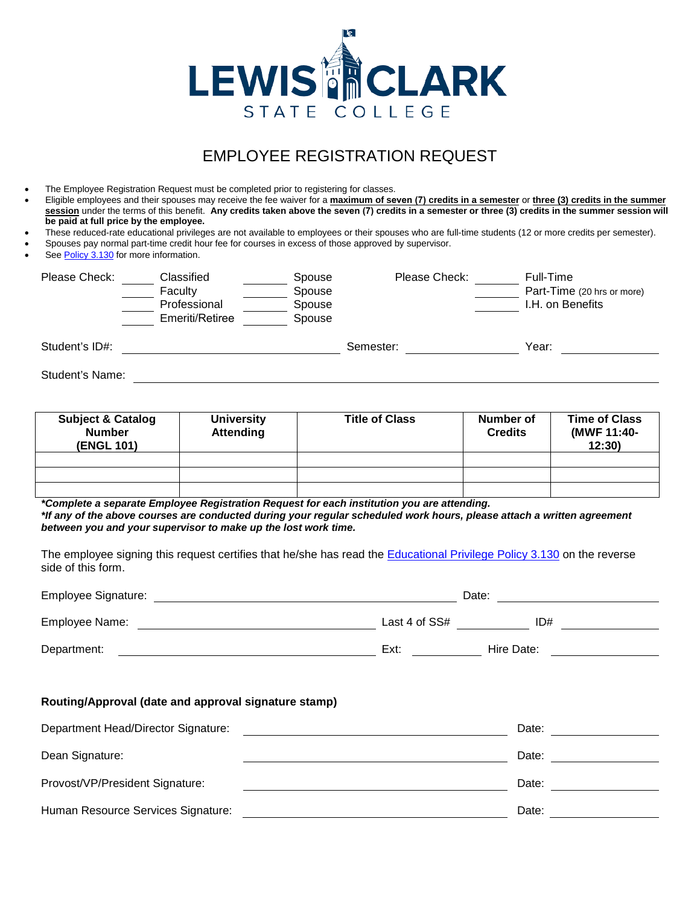

# EMPLOYEE REGISTRATION REQUEST

- The Employee Registration Request must be completed prior to registering for classes.
- Eligible employees and their spouses may receive the fee waiver for a **maximum of seven (7) credits in a semester** or **three (3) credits in the summer session** under the terms of this benefit. **Any credits taken above the seven (7) credits in a semester or three (3) credits in the summer session will be paid at full price by the employee.**
- These reduced-rate educational privileges are not available to employees or their spouses who are full-time students (12 or more credits per semester).
- Spouses pay normal part-time credit hour fee for courses in excess of those approved by supervisor.
- See [Policy 3.130](https://www.lcsc.edu/media/6004261/3130-educational-privilege-dependent-fee-discount.pdf) for more information.

| Please Check:   | Classified<br>Faculty<br>Professional<br>Emeriti/Retiree | Spouse<br>Spouse<br>Spouse<br>Spouse | Please Check: | Full-Time<br>Part-Time (20 hrs or more)<br>I.H. on Benefits |
|-----------------|----------------------------------------------------------|--------------------------------------|---------------|-------------------------------------------------------------|
| Student's ID#:  |                                                          |                                      | Semester:     | Year:                                                       |
| Student's Name: |                                                          |                                      |               |                                                             |

| <b>Subject &amp; Catalog</b><br><b>Number</b><br>(ENGL 101) | <b>University</b><br><b>Attending</b> | <b>Title of Class</b> | Number of<br><b>Credits</b> | <b>Time of Class</b><br>(MWF 11:40-<br>12:30 |
|-------------------------------------------------------------|---------------------------------------|-----------------------|-----------------------------|----------------------------------------------|
|                                                             |                                       |                       |                             |                                              |
|                                                             |                                       |                       |                             |                                              |
|                                                             |                                       |                       |                             |                                              |

*\*Complete a separate Employee Registration Request for each institution you are attending. \*If any of the above courses are conducted during your regular scheduled work hours, please attach a written agreement between you and your supervisor to make up the lost work time.*

The employee signing this request certifies that he/she has read the [Educational Privilege Policy 3.130](https://www.lcsc.edu/media/6004261/3130-educational-privilege-dependent-fee-discount.pdf) on the reverse side of this form.

| Employee Signature: |                 | Date:      |  |  |
|---------------------|-----------------|------------|--|--|
| Employee Name:      | Last 4 of $SS#$ | ID#        |  |  |
| Department:         | Ext:            | Hire Date: |  |  |

#### **Routing/Approval (date and approval signature stamp)**

| Department Head/Director Signature: | Date: |
|-------------------------------------|-------|
| Dean Signature:                     | Date: |
| Provost/VP/President Signature:     | Date: |
| Human Resource Services Signature:  | Date: |